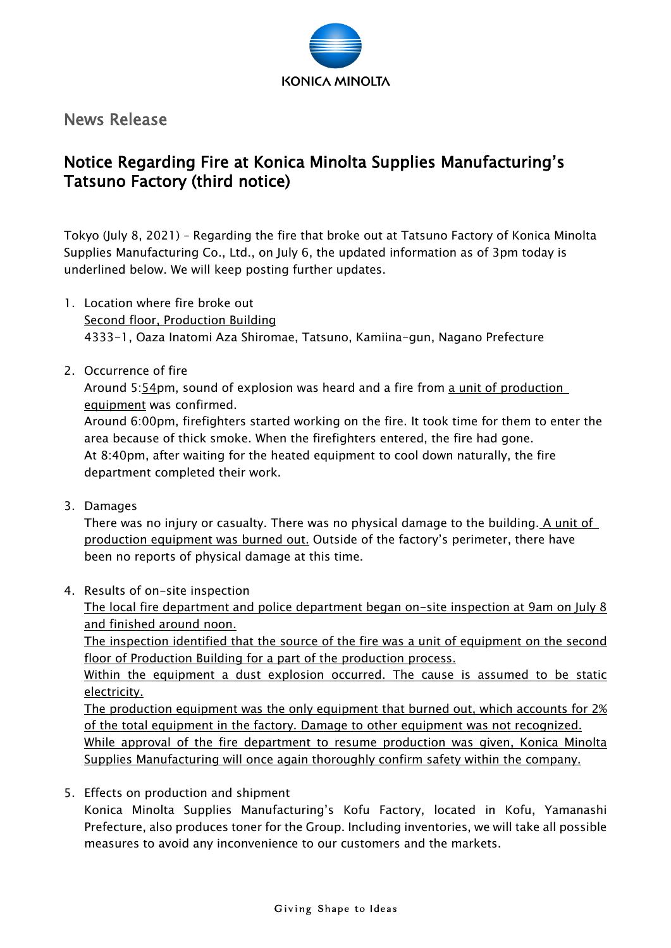

News Release

## Notice Regarding Fire at Konica Minolta Supplies Manufacturing's Tatsuno Factory (third notice)

Tokyo (July 8, 2021) – Regarding the fire that broke out at Tatsuno Factory of Konica Minolta Supplies Manufacturing Co., Ltd., on July 6, the updated information as of 3pm today is underlined below. We will keep posting further updates.

- 1. Location where fire broke out Second floor, Production Building 4333-1, Oaza Inatomi Aza Shiromae, Tatsuno, Kamiina-gun, Nagano Prefecture
- 2. Occurrence of fire

Around 5:54pm, sound of explosion was heard and a fire from a unit of production equipment was confirmed.

Around 6:00pm, firefighters started working on the fire. It took time for them to enter the area because of thick smoke. When the firefighters entered, the fire had gone. At 8:40pm, after waiting for the heated equipment to cool down naturally, the fire department completed their work.

3. Damages

There was no injury or casualty. There was no physical damage to the building. A unit of production equipment was burned out. Outside of the factory's perimeter, there have been no reports of physical damage at this time.

4. Results of on-site inspection

The local fire department and police department began on-site inspection at 9am on July 8 and finished around noon.

The inspection identified that the source of the fire was a unit of equipment on the second floor of Production Building for a part of the production process.

Within the equipment a dust explosion occurred. The cause is assumed to be static electricity.

The production equipment was the only equipment that burned out, which accounts for 2% of the total equipment in the factory. Damage to other equipment was not recognized.

While approval of the fire department to resume production was given, Konica Minolta Supplies Manufacturing will once again thoroughly confirm safety within the company.

5. Effects on production and shipment

Konica Minolta Supplies Manufacturing's Kofu Factory, located in Kofu, Yamanashi Prefecture, also produces toner for the Group. Including inventories, we will take all possible measures to avoid any inconvenience to our customers and the markets.